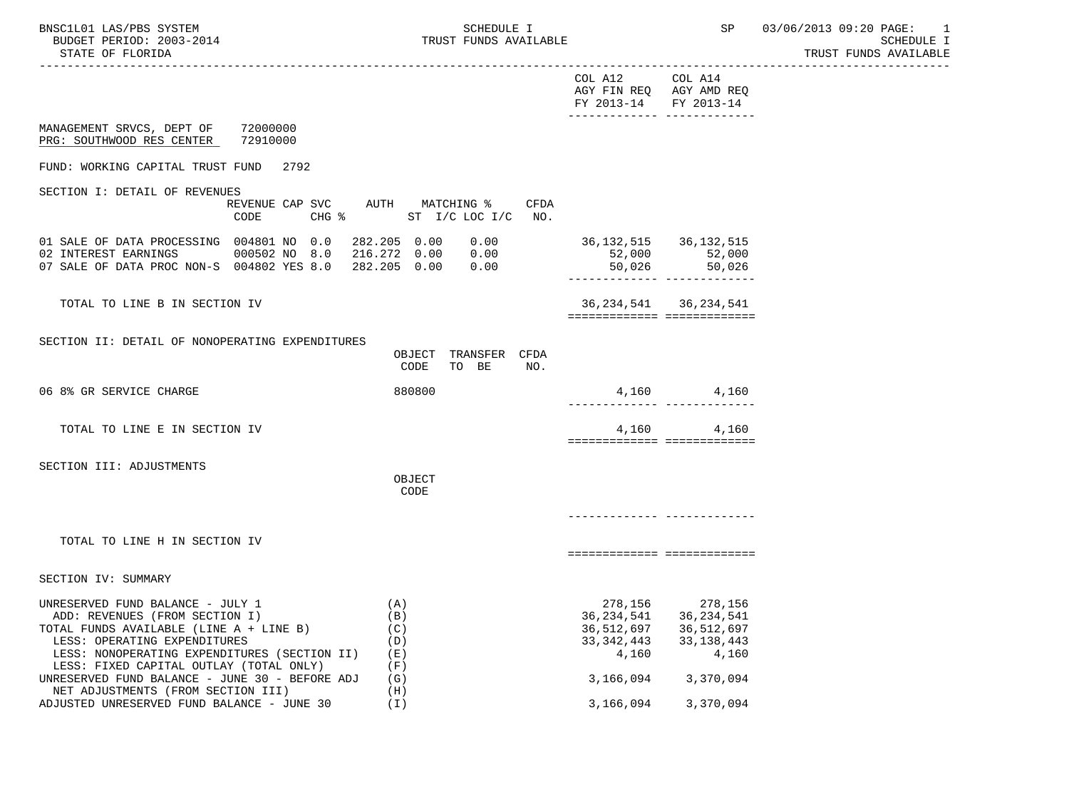TRUST FUNDS AVAILABLE

|                                                                                                                                                                                                                                          |                                                   |                                                             |                                                                       | THONT LOMDO UAUTHUM |
|------------------------------------------------------------------------------------------------------------------------------------------------------------------------------------------------------------------------------------------|---------------------------------------------------|-------------------------------------------------------------|-----------------------------------------------------------------------|---------------------|
|                                                                                                                                                                                                                                          |                                                   | COL A12<br>AGY FIN REQ AGY AMD REQ<br>FY 2013-14 FY 2013-14 | COL A14<br>-------------- --------------                              |                     |
| 72000000<br>MANAGEMENT SRVCS, DEPT OF<br>PRG: SOUTHWOOD RES CENTER<br>72910000                                                                                                                                                           |                                                   |                                                             |                                                                       |                     |
| FUND: WORKING CAPITAL TRUST FUND<br>2792                                                                                                                                                                                                 |                                                   |                                                             |                                                                       |                     |
| SECTION I: DETAIL OF REVENUES<br>REVENUE CAP SVC<br>$CHG$ $\approx$<br>CODE                                                                                                                                                              | AUTH MATCHING %<br>CFDA<br>ST $I/C$ LOC $I/C$ NO. |                                                             |                                                                       |                     |
| 01 SALE OF DATA PROCESSING 004801 NO 0.0<br>02 INTEREST EARNINGS<br>000502 NO 8.0<br>07 SALE OF DATA PROC NON-S 004802 YES 8.0 282.205 0.00 0.00                                                                                         | 282.205 0.00<br>0.00<br>216.272  0.00  0.00       | 36, 132, 515 36, 132, 515                                   | $52,000$ 52,000<br>50,026 50,026<br>_________________________________ |                     |
| TOTAL TO LINE B IN SECTION IV                                                                                                                                                                                                            |                                                   | ============================                                | 36, 234, 541 36, 234, 541                                             |                     |
| SECTION II: DETAIL OF NONOPERATING EXPENDITURES                                                                                                                                                                                          | TRANSFER CFDA<br>OBJECT<br>TO BE<br>CODE<br>NO.   |                                                             |                                                                       |                     |
| 06 8% GR SERVICE CHARGE                                                                                                                                                                                                                  | 880800                                            |                                                             | 4,160 4,160<br>-------------- --------------                          |                     |
| TOTAL TO LINE E IN SECTION IV                                                                                                                                                                                                            |                                                   | ============================                                | 4,160<br>4,160                                                        |                     |
| SECTION III: ADJUSTMENTS                                                                                                                                                                                                                 | OBJECT<br>CODE                                    |                                                             |                                                                       |                     |
|                                                                                                                                                                                                                                          |                                                   |                                                             |                                                                       |                     |
| TOTAL TO LINE H IN SECTION IV                                                                                                                                                                                                            |                                                   | ===========================                                 |                                                                       |                     |
| SECTION IV: SUMMARY                                                                                                                                                                                                                      |                                                   |                                                             |                                                                       |                     |
| UNRESERVED FUND BALANCE - JULY 1<br>ADD: REVENUES (FROM SECTION I)<br>TOTAL FUNDS AVAILABLE (LINE A + LINE B)<br>LESS: OPERATING EXPENDITURES<br>LESS: NONOPERATING EXPENDITURES (SECTION II)<br>LESS: FIXED CAPITAL OUTLAY (TOTAL ONLY) | (A)<br>(B)<br>(C)<br>(D)<br>( E )<br>(F)          | 36,234,541<br>36,512,697<br>33,342,443<br>4,160             | 278, 156 278, 156<br>36,234,541<br>36,512,697<br>33,138,443<br>4,160  |                     |
| UNRESERVED FUND BALANCE - JUNE 30 - BEFORE ADJ<br>NET ADJUSTMENTS (FROM SECTION III)                                                                                                                                                     | (G)<br>(H)                                        |                                                             | 3, 166, 094 3, 370, 094                                               |                     |
| ADJUSTED UNRESERVED FUND BALANCE - JUNE 30                                                                                                                                                                                               | ( I )                                             | 3,166,094                                                   | 3,370,094                                                             |                     |